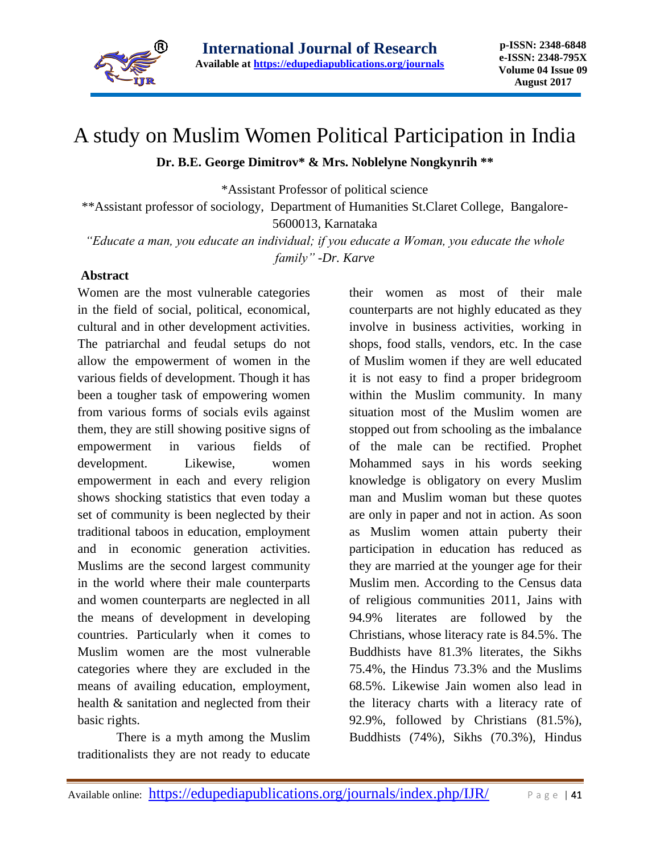

# A study on Muslim Women Political Participation in India

#### **Dr. B.E. George Dimitrov\* & Mrs. Noblelyne Nongkynrih \*\***

\*Assistant Professor of political science

\*\*Assistant professor of sociology, Department of Humanities St.Claret College, Bangalore-5600013, Karnataka

*"Educate a man, you educate an individual; if you educate a Woman, you educate the whole family" -Dr. Karve*

#### **Abstract**

Women are the most vulnerable categories in the field of social, political, economical, cultural and in other development activities. The patriarchal and feudal setups do not allow the empowerment of women in the various fields of development. Though it has been a tougher task of empowering women from various forms of socials evils against them, they are still showing positive signs of empowerment in various fields of development. Likewise, women empowerment in each and every religion shows shocking statistics that even today a set of community is been neglected by their traditional taboos in education, employment and in economic generation activities. Muslims are the second largest community in the world where their male counterparts and women counterparts are neglected in all the means of development in developing countries. Particularly when it comes to Muslim women are the most vulnerable categories where they are excluded in the means of availing education, employment, health & sanitation and neglected from their basic rights.

There is a myth among the Muslim traditionalists they are not ready to educate

their women as most of their male counterparts are not highly educated as they involve in business activities, working in shops, food stalls, vendors, etc. In the case of Muslim women if they are well educated it is not easy to find a proper bridegroom within the Muslim community. In many situation most of the Muslim women are stopped out from schooling as the imbalance of the male can be rectified. Prophet Mohammed says in his words seeking knowledge is obligatory on every Muslim man and Muslim woman but these quotes are only in paper and not in action. As soon as Muslim women attain puberty their participation in education has reduced as they are married at the younger age for their Muslim men. According to the Census data of religious communities 2011, Jains with 94.9% literates are followed by the Christians, whose literacy rate is 84.5%. The Buddhists have 81.3% literates, the Sikhs 75.4%, the Hindus 73.3% and the Muslims 68.5%. Likewise Jain women also lead in the literacy charts with a literacy rate of 92.9%, followed by Christians (81.5%), Buddhists (74%), Sikhs (70.3%), Hindus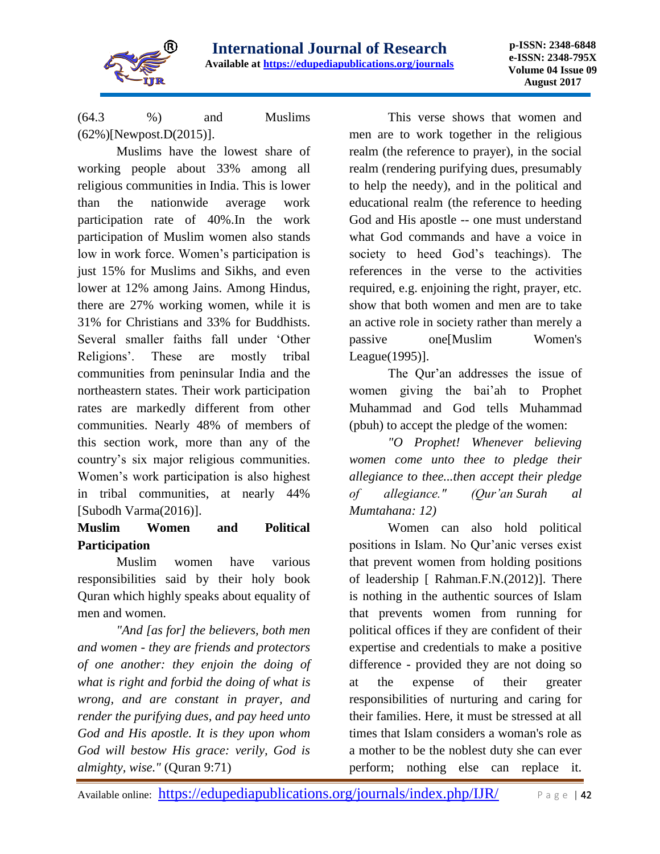

(64.3 %) and Muslims (62%)[Newpost.D(2015)].

Muslims have the lowest share of working people about 33% among all religious communities in India. This is lower than the nationwide average work participation rate of 40%.In the work participation of Muslim women also stands low in work force. Women's participation is just 15% for Muslims and Sikhs, and even lower at 12% among Jains. Among Hindus, there are 27% working women, while it is 31% for Christians and 33% for Buddhists. Several smaller faiths fall under 'Other Religions'. These are mostly tribal communities from peninsular India and the northeastern states. Their work participation rates are markedly different from other communities. Nearly 48% of members of this section work, more than any of the country's six major religious communities. Women's work participation is also highest in tribal communities, at nearly 44% [Subodh Varma(2016)].

# **Muslim Women and Political Participation**

Muslim women have various responsibilities said by their holy book Quran which highly speaks about equality of men and women.

*"And [as for] the believers, both men and women - they are friends and protectors of one another: they enjoin the doing of what is right and forbid the doing of what is wrong, and are constant in prayer, and render the purifying dues, and pay heed unto God and His apostle. It is they upon whom God will bestow His grace: verily, God is almighty, wise."* (Quran 9:71)

This verse shows that women and men are to work together in the religious realm (the reference to prayer), in the social realm (rendering purifying dues, presumably to help the needy), and in the political and educational realm (the reference to heeding God and His apostle -- one must understand what God commands and have a voice in society to heed God's teachings). The references in the verse to the activities required, e.g. enjoining the right, prayer, etc. show that both women and men are to take an active role in society rather than merely a passive one[Muslim Women's League(1995)].

The Qur'an addresses the issue of women giving the bai'ah to Prophet Muhammad and God tells Muhammad (pbuh) to accept the pledge of the women:

*"O Prophet! Whenever believing women come unto thee to pledge their allegiance to thee...then accept their pledge of allegiance." (Qur'an Surah al Mumtahana: 12)*

Women can also hold political positions in Islam. No Qur'anic verses exist that prevent women from holding positions of leadership [ Rahman.F.N.(2012)]. There is nothing in the authentic sources of Islam that prevents women from running for political offices if they are confident of their expertise and credentials to make a positive difference - provided they are not doing so at the expense of their greater responsibilities of nurturing and caring for their families. Here, it must be stressed at all times that Islam considers a woman's role as a mother to be the noblest duty she can ever perform; nothing else can replace it.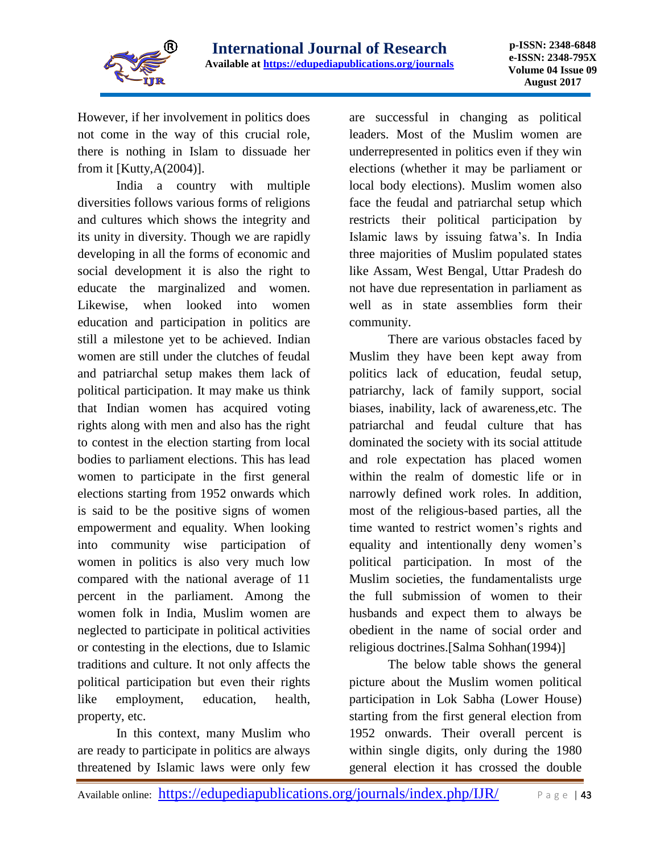

However, if her involvement in politics does not come in the way of this crucial role, there is nothing in Islam to dissuade her from it  $[Kutty, A(2004)].$ 

India a country with multiple diversities follows various forms of religions and cultures which shows the integrity and its unity in diversity. Though we are rapidly developing in all the forms of economic and social development it is also the right to educate the marginalized and women. Likewise, when looked into women education and participation in politics are still a milestone yet to be achieved. Indian women are still under the clutches of feudal and patriarchal setup makes them lack of political participation. It may make us think that Indian women has acquired voting rights along with men and also has the right to contest in the election starting from local bodies to parliament elections. This has lead women to participate in the first general elections starting from 1952 onwards which is said to be the positive signs of women empowerment and equality. When looking into community wise participation of women in politics is also very much low compared with the national average of 11 percent in the parliament. Among the women folk in India, Muslim women are neglected to participate in political activities or contesting in the elections, due to Islamic traditions and culture. It not only affects the political participation but even their rights like employment, education, health, property, etc.

In this context, many Muslim who are ready to participate in politics are always threatened by Islamic laws were only few

are successful in changing as political leaders. Most of the Muslim women are underrepresented in politics even if they win elections (whether it may be parliament or local body elections). Muslim women also face the feudal and patriarchal setup which restricts their political participation by Islamic laws by issuing fatwa's. In India three majorities of Muslim populated states like Assam, West Bengal, Uttar Pradesh do not have due representation in parliament as well as in state assemblies form their community.

There are various obstacles faced by Muslim they have been kept away from politics lack of education, feudal setup, patriarchy, lack of family support, social biases, inability, lack of awareness,etc. The patriarchal and feudal culture that has dominated the society with its social attitude and role expectation has placed women within the realm of domestic life or in narrowly defined work roles. In addition, most of the religious-based parties, all the time wanted to restrict women's rights and equality and intentionally deny women's political participation. In most of the Muslim societies, the fundamentalists urge the full submission of women to their husbands and expect them to always be obedient in the name of social order and religious doctrines.[Salma Sohhan(1994)]

The below table shows the general picture about the Muslim women political participation in Lok Sabha (Lower House) starting from the first general election from 1952 onwards. Their overall percent is within single digits, only during the 1980 general election it has crossed the double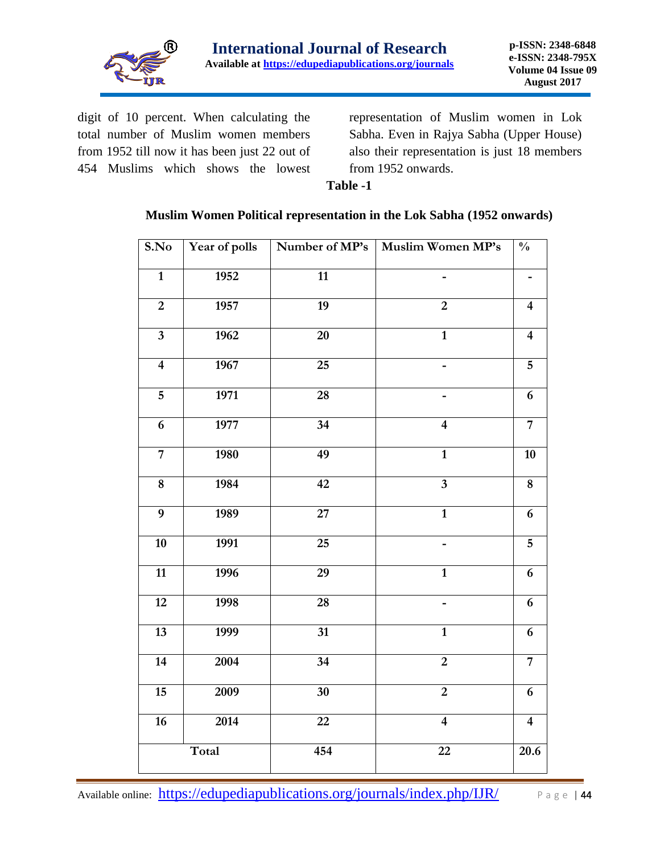

digit of 10 percent. When calculating the total number of Muslim women members from 1952 till now it has been just 22 out of 454 Muslims which shows the lowest

representation of Muslim women in Lok Sabha. Even in Rajya Sabha (Upper House) also their representation is just 18 members from 1952 onwards.

#### **Table -1**

#### **Muslim Women Political representation in the Lok Sabha (1952 onwards)**

| S.No                    | Year of polls | Number of MP's  | Muslim Women MP's       | $\overline{\frac{0}{6}}$ |
|-------------------------|---------------|-----------------|-------------------------|--------------------------|
| $\mathbf{1}$            | 1952          | $\overline{11}$ |                         |                          |
| $\boldsymbol{2}$        | 1957          | $\overline{19}$ | $\overline{2}$          | $\overline{\mathbf{4}}$  |
| $\overline{\mathbf{3}}$ | 1962          | $\overline{20}$ | $\overline{1}$          | $\overline{\mathbf{4}}$  |
| $\overline{4}$          | 1967          | $\overline{25}$ | $\frac{1}{2}$           | $\overline{5}$           |
| $\overline{5}$          | 1971          | 28              | -                       | 6                        |
| $\boldsymbol{6}$        | 1977          | 34              | $\overline{\mathbf{4}}$ | $\overline{7}$           |
| $\overline{7}$          | 1980          | 49              | $\mathbf{1}$            | 10                       |
| $\overline{8}$          | 1984          | 42              | $\overline{3}$          | $\overline{\mathbf{8}}$  |
| $\overline{9}$          | 1989          | $\overline{27}$ | $\overline{1}$          | 6                        |
| 10                      | 1991          | $\overline{25}$ |                         | $\overline{5}$           |
| 11                      | 1996          | 29              | $\overline{1}$          | $\boldsymbol{6}$         |
| $\overline{12}$         | 1998          | $\overline{28}$ |                         | 6                        |
| 13                      | 1999          | $\overline{31}$ | $\mathbf{1}$            | 6                        |
| $\overline{14}$         | 2004          | $\overline{34}$ | $\overline{2}$          | $\overline{7}$           |
| 15                      | 2009          | 30              | $\overline{2}$          | $\boldsymbol{6}$         |
| 16                      | 2014          | 22              | $\overline{\mathbf{4}}$ | $\overline{\mathbf{4}}$  |
|                         | Total         | 454             | $\overline{22}$         | 20.6                     |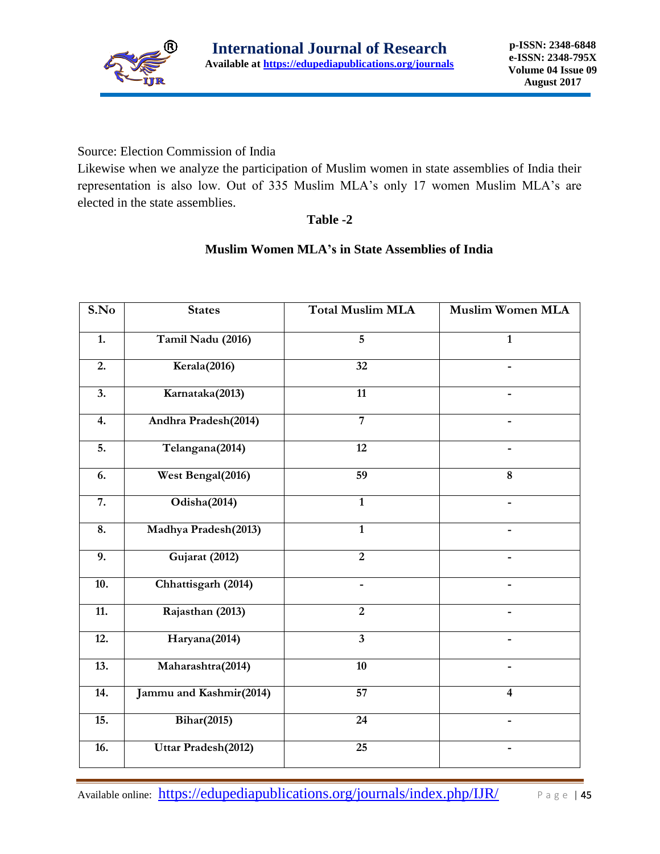

Source: Election Commission of India

Likewise when we analyze the participation of Muslim women in state assemblies of India their representation is also low. Out of 335 Muslim MLA's only 17 women Muslim MLA's are elected in the state assemblies.

## **Table -2**

## **Muslim Women MLA's in State Assemblies of India**

| S.No              | <b>States</b>           | <b>Total Muslim MLA</b> | <b>Muslim Women MLA</b> |
|-------------------|-------------------------|-------------------------|-------------------------|
| 1.                | Tamil Nadu (2016)       | 5                       | $\mathbf{1}$            |
| 2.                | Kerala(2016)            | 32                      | -                       |
| 3.                | Karnataka(2013)         | 11                      |                         |
| 4.                | Andhra Pradesh(2014)    | $\overline{7}$          |                         |
| 5.                | Telangana(2014)         | 12                      |                         |
| 6.                | West Bengal(2016)       | 59                      | $\overline{8}$          |
| $\overline{7}$ .  | Odisha(2014)            | $\overline{1}$          |                         |
| 8.                | Madhya Pradesh(2013)    | $\overline{1}$          |                         |
| 9.                | Gujarat (2012)          | $\overline{2}$          |                         |
| 10.               | Chhattisgarh (2014)     |                         |                         |
| $\overline{11}$ . | Rajasthan (2013)        | $\overline{2}$          |                         |
| $\overline{12}$ . | Haryana(2014)           | $\overline{\mathbf{3}}$ |                         |
| 13.               | Maharashtra(2014)       | 10                      |                         |
| 14.               | Jammu and Kashmir(2014) | $\overline{57}$         | $\overline{\mathbf{4}}$ |
| $\overline{15}$ . | <b>Bihar(2015)</b>      | 24                      |                         |
| 16.               | Uttar Pradesh(2012)     | 25                      |                         |

Available online: <https://edupediapublications.org/journals/index.php/IJR/> Page | 45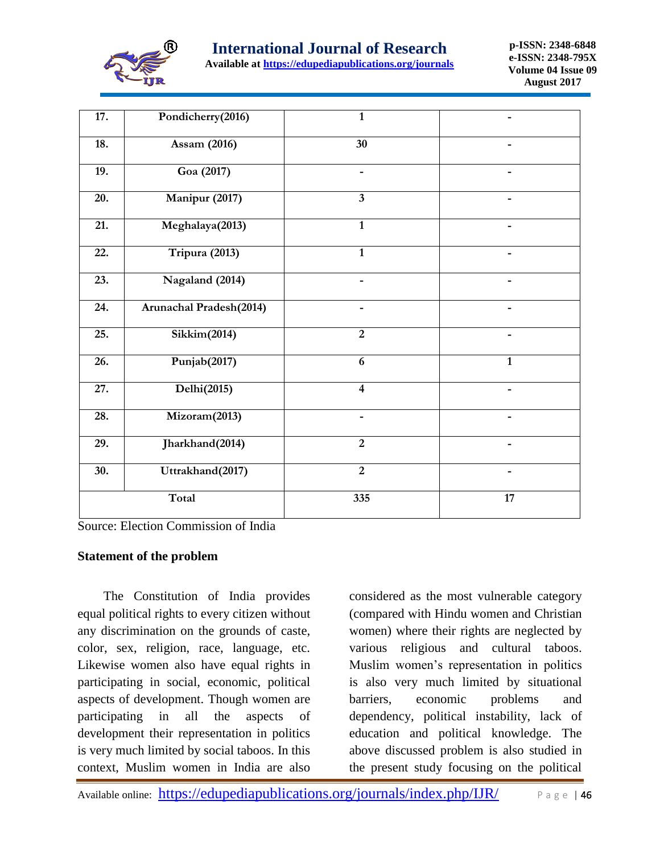

| Available at https://edupediapublications.org/journals |  |  |  |
|--------------------------------------------------------|--|--|--|
|                                                        |  |  |  |

| 17.               | Pondicherry(2016)        | $\mathbf{1}$            |              |
|-------------------|--------------------------|-------------------------|--------------|
| 18.               | Assam (2016)             | 30                      |              |
| 19.               | Goa (2017)               | -                       |              |
| 20.               | Manipur (2017)           | $\overline{\mathbf{3}}$ |              |
| 21.               | Meghalaya(2013)          | $\mathbf{1}$            |              |
| 22.               | Tripura (2013)           | $\mathbf{1}$            |              |
| 23.               | Nagaland (2014)          |                         |              |
| 24.               | Arunachal Pradesh(2014)  |                         |              |
| 25.               | Sikkim(2014)             | $\overline{2}$          |              |
| 26.               | Punjab <sub>(2017)</sub> | 6                       | $\mathbf{1}$ |
| $\overline{27}$ . | Delhi(2015)              | $\overline{\mathbf{4}}$ |              |
| 28.               | Mizoram(2013)            |                         |              |
| 29.               | Jharkhand(2014)          | $\overline{2}$          |              |
| 30.               | Uttrakhand(2017)         | $\overline{2}$          |              |
|                   | Total                    | 335                     | 17           |

Source: Election Commission of India

#### **Statement of the problem**

 The Constitution of India provides equal political rights to every citizen without any discrimination on the grounds of caste, color, sex, religion, race, language, etc. Likewise women also have equal rights in participating in social, economic, political aspects of development. Though women are participating in all the aspects of development their representation in politics is very much limited by social taboos. In this context, Muslim women in India are also

considered as the most vulnerable category (compared with Hindu women and Christian women) where their rights are neglected by various religious and cultural taboos. Muslim women's representation in politics is also very much limited by situational barriers, economic problems and dependency, political instability, lack of education and political knowledge. The above discussed problem is also studied in the present study focusing on the political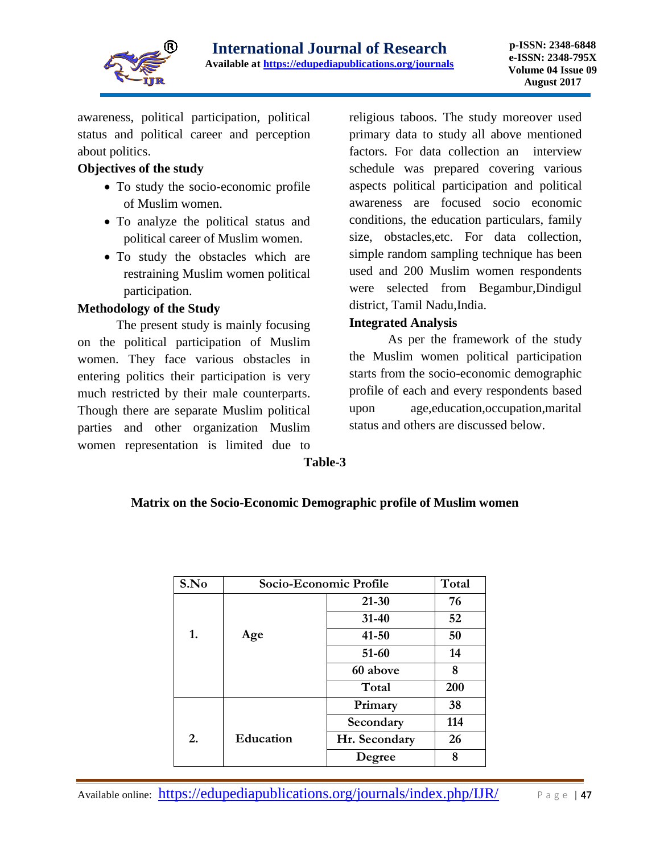

awareness, political participation, political status and political career and perception about politics.

# **Objectives of the study**

- To study the socio-economic profile of Muslim women.
- To analyze the political status and political career of Muslim women.
- To study the obstacles which are restraining Muslim women political participation.

# **Methodology of the Study**

The present study is mainly focusing on the political participation of Muslim women. They face various obstacles in entering politics their participation is very much restricted by their male counterparts. Though there are separate Muslim political parties and other organization Muslim women representation is limited due to

religious taboos. The study moreover used primary data to study all above mentioned factors. For data collection an interview schedule was prepared covering various aspects political participation and political awareness are focused socio economic conditions, the education particulars, family size, obstacles,etc. For data collection, simple random sampling technique has been used and 200 Muslim women respondents were selected from Begambur,Dindigul district, Tamil Nadu,India.

# **Integrated Analysis**

As per the framework of the study the Muslim women political participation starts from the socio-economic demographic profile of each and every respondents based upon age,education,occupation,marital status and others are discussed below.

**Table-3**

# **Matrix on the Socio-Economic Demographic profile of Muslim women**

| S.No | Socio-Economic Profile |               | Total |
|------|------------------------|---------------|-------|
|      |                        | $21 - 30$     | 76    |
|      |                        | $31 - 40$     | 52    |
| 1.   | Age                    | $41 - 50$     | 50    |
|      |                        | 51-60         | 14    |
|      |                        | 60 above      | 8     |
|      |                        | Total         | 200   |
|      |                        | Primary       | 38    |
|      |                        | Secondary     | 114   |
| 2.   | Education              | Hr. Secondary | 26    |
|      |                        | Degree        | 8     |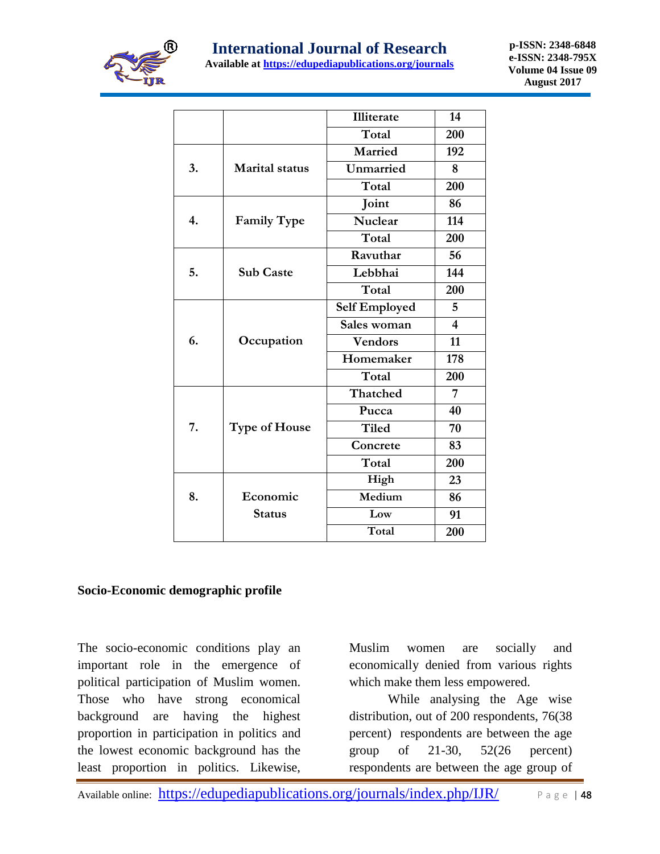

|    |                       | <b>Illiterate</b>    | 14                      |
|----|-----------------------|----------------------|-------------------------|
|    |                       | Total                | 200                     |
|    |                       | Married              | 192                     |
| 3. | <b>Marital status</b> | Unmarried            | 8                       |
|    |                       | Total                | 200                     |
|    |                       | Joint                | 86                      |
| 4. | <b>Family Type</b>    | <b>Nuclear</b>       | 114                     |
|    |                       | Total                | 200                     |
|    |                       | Ravuthar             | 56                      |
| 5. | <b>Sub Caste</b>      | Lebbhai              | 144                     |
|    |                       | Total                | 200                     |
|    |                       | <b>Self Employed</b> | 5                       |
|    |                       | Sales woman          | $\overline{\mathbf{4}}$ |
| 6. | Occupation            | <b>Vendors</b>       | 11                      |
|    |                       | Homemaker            | 178                     |
|    |                       | Total                | 200                     |
|    |                       | Thatched             | 7                       |
|    |                       | Pucca                | 40                      |
| 7. | <b>Type of House</b>  | <b>Tiled</b>         | 70                      |
|    |                       | Concrete             | 83                      |
|    |                       | Total                | 200                     |
|    |                       | High                 | 23                      |
| 8. | Economic              | Medium               | 86                      |
|    | <b>Status</b>         | Low                  | 91                      |
|    |                       | Total                | 200                     |

## **Socio-Economic demographic profile**

The socio-economic conditions play an important role in the emergence of political participation of Muslim women. Those who have strong economical background are having the highest proportion in participation in politics and the lowest economic background has the least proportion in politics. Likewise,

Muslim women are socially and economically denied from various rights which make them less empowered.

While analysing the Age wise distribution, out of 200 respondents, 76(38 percent) respondents are between the age group of 21-30, 52(26 percent) respondents are between the age group of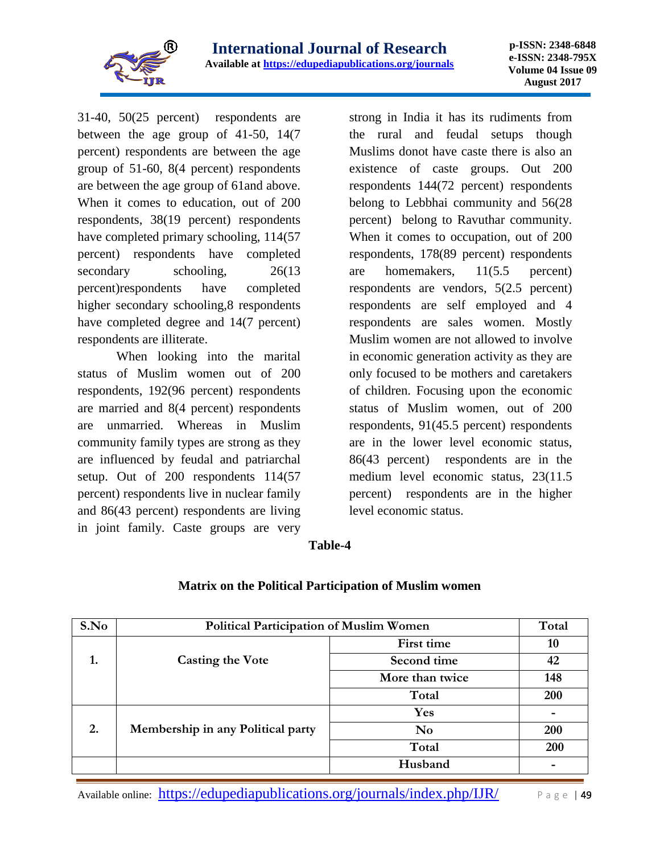

31-40, 50(25 percent) respondents are between the age group of 41-50, 14(7 percent) respondents are between the age group of 51-60, 8(4 percent) respondents are between the age group of 61and above. When it comes to education, out of 200 respondents, 38(19 percent) respondents have completed primary schooling, 114(57 percent) respondents have completed secondary schooling,  $26(13)$ percent)respondents have completed higher secondary schooling,8 respondents have completed degree and 14(7 percent) respondents are illiterate.

When looking into the marital status of Muslim women out of 200 respondents, 192(96 percent) respondents are married and 8(4 percent) respondents are unmarried. Whereas in Muslim community family types are strong as they are influenced by feudal and patriarchal setup. Out of 200 respondents 114(57 percent) respondents live in nuclear family and 86(43 percent) respondents are living in joint family. Caste groups are very

strong in India it has its rudiments from the rural and feudal setups though Muslims donot have caste there is also an existence of caste groups. Out 200 respondents 144(72 percent) respondents belong to Lebbhai community and 56(28 percent) belong to Ravuthar community. When it comes to occupation, out of 200 respondents, 178(89 percent) respondents are homemakers, 11(5.5 percent) respondents are vendors, 5(2.5 percent) respondents are self employed and 4 respondents are sales women. Mostly Muslim women are not allowed to involve in economic generation activity as they are only focused to be mothers and caretakers of children. Focusing upon the economic status of Muslim women, out of 200 respondents, 91(45.5 percent) respondents are in the lower level economic status, 86(43 percent) respondents are in the medium level economic status, 23(11.5 percent) respondents are in the higher level economic status.

#### **Table-4**

| S.No | <b>Political Participation of Muslim Women</b> |                        | Total |
|------|------------------------------------------------|------------------------|-------|
|      |                                                | First time             | 10    |
| 1.   | <b>Casting the Vote</b>                        | Second time            | 42    |
|      |                                                | More than twice        | 148   |
|      |                                                | Total                  | 200   |
|      |                                                | Yes                    |       |
| 2.   | Membership in any Political party              | $\mathbf{N}\mathbf{o}$ | 200   |
|      |                                                | Total                  | 200   |
|      |                                                | Husband                |       |

## **Matrix on the Political Participation of Muslim women**

Available online: <https://edupediapublications.org/journals/index.php/IJR/> Page | 49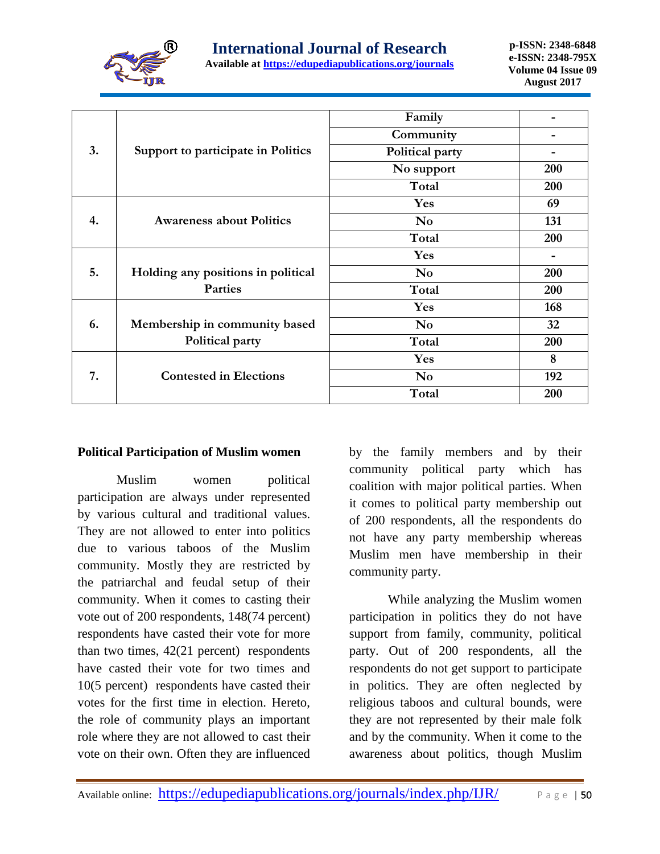

|    |                                    | Family                 |     |
|----|------------------------------------|------------------------|-----|
|    |                                    | Community              |     |
| 3. | Support to participate in Politics | Political party        |     |
|    |                                    | No support             | 200 |
|    |                                    | Total                  | 200 |
|    |                                    | Yes                    | 69  |
| 4. | <b>Awareness about Politics</b>    | <b>No</b>              | 131 |
|    |                                    | Total                  | 200 |
|    |                                    | Yes                    |     |
| 5. | Holding any positions in political | $\mathbf{N}\mathbf{o}$ | 200 |
|    | <b>Parties</b>                     | Total                  | 200 |
|    |                                    | Yes                    | 168 |
| 6. | Membership in community based      | N <sub>0</sub>         | 32  |
|    | Political party                    | Total                  | 200 |
|    |                                    | Yes                    | 8   |
| 7. | <b>Contested in Elections</b>      | N <sub>0</sub>         | 192 |
|    |                                    | Total                  | 200 |

#### **Political Participation of Muslim women**

Muslim women political participation are always under represented by various cultural and traditional values. They are not allowed to enter into politics due to various taboos of the Muslim community. Mostly they are restricted by the patriarchal and feudal setup of their community. When it comes to casting their vote out of 200 respondents, 148(74 percent) respondents have casted their vote for more than two times,  $42(21)$  percent) respondents have casted their vote for two times and 10(5 percent) respondents have casted their votes for the first time in election. Hereto, the role of community plays an important role where they are not allowed to cast their vote on their own. Often they are influenced

by the family members and by their community political party which has coalition with major political parties. When it comes to political party membership out of 200 respondents, all the respondents do not have any party membership whereas Muslim men have membership in their community party.

While analyzing the Muslim women participation in politics they do not have support from family, community, political party. Out of 200 respondents, all the respondents do not get support to participate in politics. They are often neglected by religious taboos and cultural bounds, were they are not represented by their male folk and by the community. When it come to the awareness about politics, though Muslim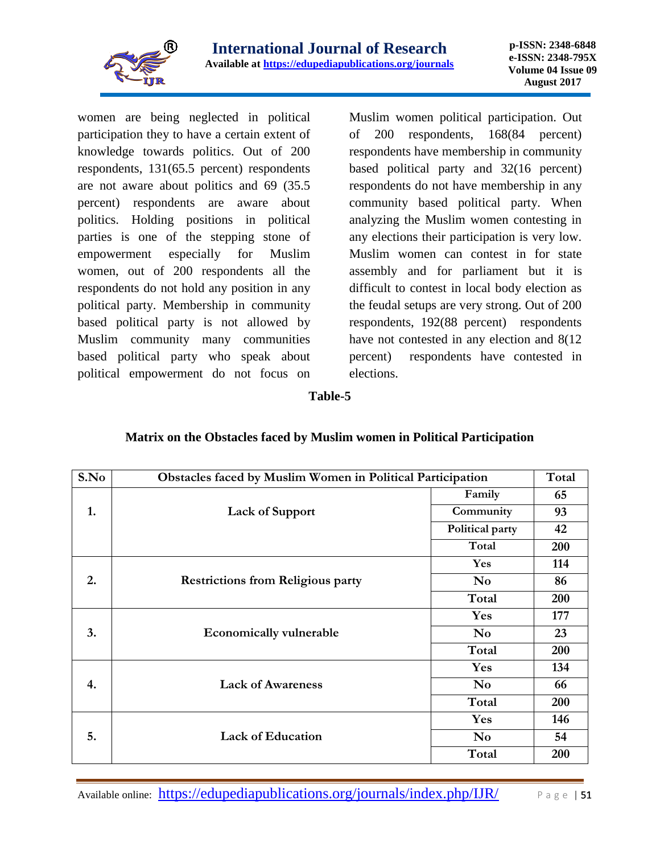

women are being neglected in political participation they to have a certain extent of knowledge towards politics. Out of 200 respondents, 131(65.5 percent) respondents are not aware about politics and 69 (35.5 percent) respondents are aware about politics. Holding positions in political parties is one of the stepping stone of empowerment especially for Muslim women, out of 200 respondents all the respondents do not hold any position in any political party. Membership in community based political party is not allowed by Muslim community many communities based political party who speak about political empowerment do not focus on Muslim women political participation. Out of 200 respondents, 168(84 percent) respondents have membership in community based political party and 32(16 percent) respondents do not have membership in any community based political party. When analyzing the Muslim women contesting in any elections their participation is very low. Muslim women can contest in for state assembly and for parliament but it is difficult to contest in local body election as the feudal setups are very strong. Out of 200 respondents, 192(88 percent) respondents have not contested in any election and  $8(12)$ percent) respondents have contested in elections.

#### **Table-5**

| S.No | Obstacles faced by Muslim Women in Political Participation |                 |     |
|------|------------------------------------------------------------|-----------------|-----|
|      |                                                            | Family          | 65  |
| 1.   | <b>Lack of Support</b>                                     | Community       | 93  |
|      |                                                            | Political party | 42  |
|      |                                                            | Total           | 200 |
|      |                                                            | Yes             | 114 |
| 2.   | <b>Restrictions from Religious party</b>                   | N <sub>0</sub>  | 86  |
|      |                                                            | Total           | 200 |
|      |                                                            | Yes             | 177 |
| 3.   | <b>Economically vulnerable</b>                             | N <sub>0</sub>  | 23  |
|      |                                                            | Total           | 200 |
|      |                                                            | Yes             | 134 |
| 4.   | <b>Lack of Awareness</b>                                   | N <sub>0</sub>  | 66  |
|      |                                                            | Total           | 200 |
|      |                                                            | Yes             | 146 |
| 5.   | <b>Lack of Education</b>                                   | N <sub>0</sub>  | 54  |
|      |                                                            | Total           | 200 |

**Matrix on the Obstacles faced by Muslim women in Political Participation**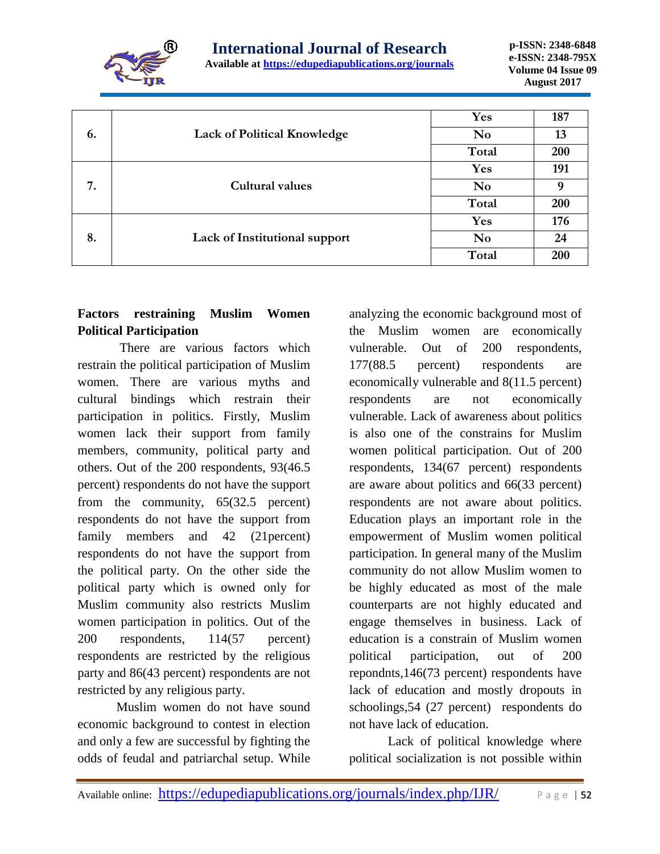

|    |                                    | Yes            | 187 |
|----|------------------------------------|----------------|-----|
| 6. | <b>Lack of Political Knowledge</b> | N <sub>0</sub> | 13  |
|    |                                    | Total          | 200 |
|    |                                    | Yes            | 191 |
| 7. | Cultural values                    | N <sub>0</sub> | 9   |
|    |                                    | Total          | 200 |
|    |                                    | Yes            | 176 |
| 8. | Lack of Institutional support      | N <sub>0</sub> | 24  |
|    |                                    | Total          | 200 |

# **Factors restraining Muslim Women Political Participation**

There are various factors which restrain the political participation of Muslim women. There are various myths and cultural bindings which restrain their participation in politics. Firstly, Muslim women lack their support from family members, community, political party and others. Out of the 200 respondents, 93(46.5 percent) respondents do not have the support from the community, 65(32.5 percent) respondents do not have the support from family members and 42 (21percent) respondents do not have the support from the political party. On the other side the political party which is owned only for Muslim community also restricts Muslim women participation in politics. Out of the 200 respondents, 114(57 percent) respondents are restricted by the religious party and 86(43 percent) respondents are not restricted by any religious party.

Muslim women do not have sound economic background to contest in election and only a few are successful by fighting the odds of feudal and patriarchal setup. While

analyzing the economic background most of the Muslim women are economically vulnerable. Out of 200 respondents, 177(88.5 percent) respondents are economically vulnerable and 8(11.5 percent) respondents are not economically vulnerable. Lack of awareness about politics is also one of the constrains for Muslim women political participation. Out of 200 respondents, 134(67 percent) respondents are aware about politics and 66(33 percent) respondents are not aware about politics. Education plays an important role in the empowerment of Muslim women political participation. In general many of the Muslim community do not allow Muslim women to be highly educated as most of the male counterparts are not highly educated and engage themselves in business. Lack of education is a constrain of Muslim women political participation, out of 200 repondnts,146(73 percent) respondents have lack of education and mostly dropouts in schoolings,54 (27 percent) respondents do not have lack of education.

Lack of political knowledge where political socialization is not possible within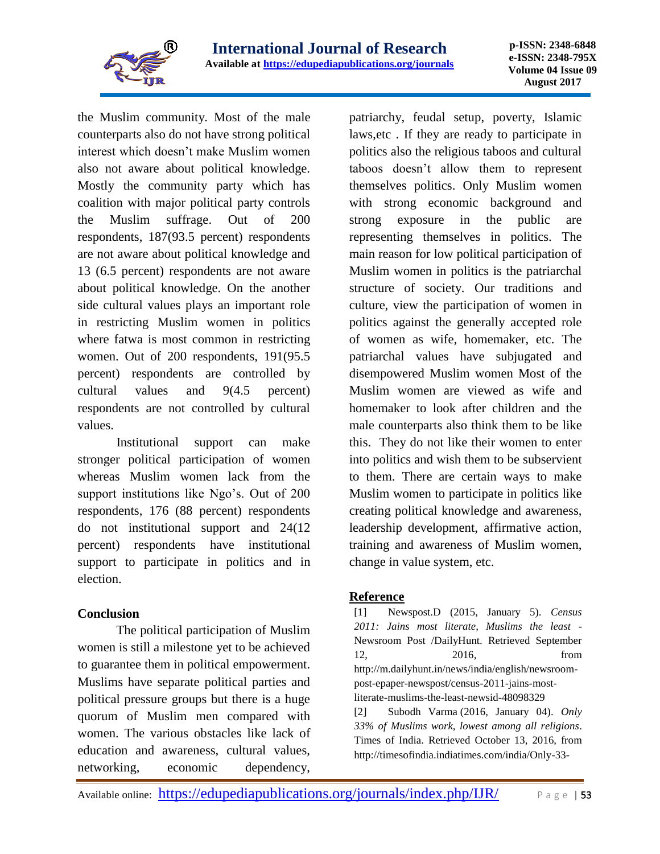

the Muslim community. Most of the male counterparts also do not have strong political interest which doesn't make Muslim women also not aware about political knowledge. Mostly the community party which has coalition with major political party controls the Muslim suffrage. Out of 200 respondents, 187(93.5 percent) respondents are not aware about political knowledge and 13 (6.5 percent) respondents are not aware about political knowledge. On the another side cultural values plays an important role in restricting Muslim women in politics where fatwa is most common in restricting women. Out of 200 respondents, 191(95.5 percent) respondents are controlled by cultural values and 9(4.5 percent) respondents are not controlled by cultural values.

Institutional support can make stronger political participation of women whereas Muslim women lack from the support institutions like Ngo's. Out of 200 respondents, 176 (88 percent) respondents do not institutional support and 24(12 percent) respondents have institutional support to participate in politics and in election.

## **Conclusion**

The political participation of Muslim women is still a milestone yet to be achieved to guarantee them in political empowerment. Muslims have separate political parties and political pressure groups but there is a huge quorum of Muslim men compared with women. The various obstacles like lack of education and awareness, cultural values, networking, economic dependency,

patriarchy, feudal setup, poverty, Islamic laws,etc . If they are ready to participate in politics also the religious taboos and cultural taboos doesn't allow them to represent themselves politics. Only Muslim women with strong economic background and strong exposure in the public are representing themselves in politics. The main reason for low political participation of Muslim women in politics is the patriarchal structure of society. Our traditions and culture, view the participation of women in politics against the generally accepted role of women as wife, homemaker, etc. The patriarchal values have subjugated and disempowered Muslim women Most of the Muslim women are viewed as wife and homemaker to look after children and the male counterparts also think them to be like this. They do not like their women to enter into politics and wish them to be subservient to them. There are certain ways to make Muslim women to participate in politics like creating political knowledge and awareness, leadership development, affirmative action, training and awareness of Muslim women, change in value system, etc.

## **Reference**

[1] Newspost.D (2015, January 5). *Census 2011: Jains most literate, Muslims the least* - Newsroom Post /DailyHunt. Retrieved September 12, 2016, from http://m.dailyhunt.in/news/india/english/newsroompost-epaper-newspost/census-2011-jains-mostliterate-muslims-the-least-newsid-48098329 [2] Subodh Varma (2016, January 04). *Only 33% of Muslims work, lowest among all religions*.

Times of India. Retrieved October 13, 2016, from http://timesofindia.indiatimes.com/india/Only-33-